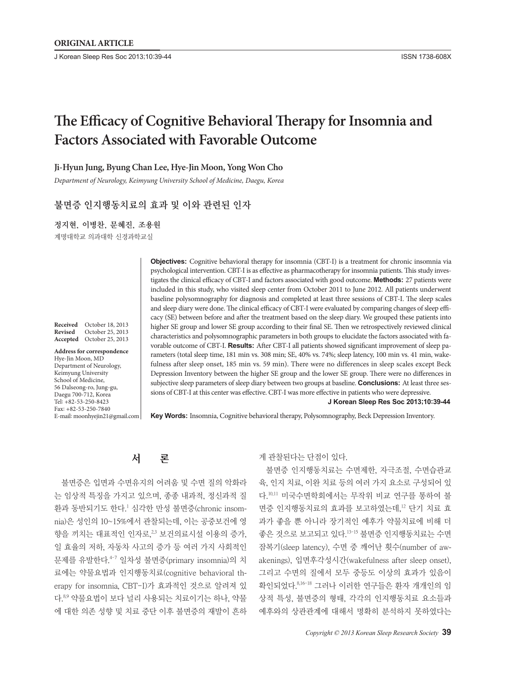J Korean Sleep Res Soc 2013;10:39-44 ISSN 1738-608X

# **The Efficacy of Cognitive Behavioral Therapy for Insomnia and Factors Associated with Favorable Outcome**

## **Ji-Hyun Jung, Byung Chan Lee, Hye-Jin Moon, Yong Won Cho**

*Department of Neurology, Keimyung University School of Medicine, Daegu, Korea*

## 불면증 인지행동치료의 효과 및 이와 관련된 인자

정지현, 이병찬, 문혜진, 조용원

계명대학교 의과대학 신경과학교실

**Received** October 18, 2013 **Revised** October 25, 2013 **Accepted** October 25, 2013

**Address for correspondence** Hye-Jin Moon, MD Department of Neurology, Keimyung University School of Medicine, 56 Dalseong-ro, Jung-gu, Daegu 700-712, Korea Tel: +82-53-250-8423 Fax: +82-53-250-7840 E-mail: moonhyejin21@gmail.com

**Objectives:** Cognitive behavioral therapy for insomnia (CBT-I) is a treatment for chronic insomnia via psychological intervention. CBT-I is as effective as pharmacotherapy for insomnia patients. This study investigates the clinical efficacy of CBT-I and factors associated with good outcome. **Methods:** 27 patients were included in this study, who visited sleep center from October 2011 to June 2012. All patients underwent baseline polysomnography for diagnosis and completed at least three sessions of CBT-I. The sleep scales and sleep diary were done. The clinical efficacy of CBT-I were evaluated by comparing changes of sleep efficacy (SE) between before and after the treatment based on the sleep diary. We grouped these patients into higher SE group and lower SE group according to their final SE. Then we retrospectively reviewed clinical characteristics and polysomnographic parameters in both groups to elucidate the factors associated with favorable outcome of CBT-I. **Results:** After CBT-I all patients showed significant improvement of sleep parameters (total sleep time, 181 min vs. 308 min; SE, 40% vs. 74%; sleep latency, 100 min vs. 41 min, wakefulness after sleep onset, 185 min vs. 59 min). There were no differences in sleep scales except Beck Depression Inventory between the higher SE group and the lower SE group. There were no differences in subjective sleep parameters of sleep diary between two groups at baseline. **Conclusions:** At least three sessions of CBT-I at this center was effective. CBT-I was more effective in patients who were depressive. **J Korean Sleep Res Soc 2013;10:39-44**

**Key Words:** Insomnia, Cognitive behavioral therapy, Polysomnography, Beck Depression Inventory.

서 론

불면증은 입면과 수면유지의 어려움 및 수면 질의 악화라 는 임상적 특징을 가지고 있으며, 종종 내과적, 정신과적 질 환과 동반되기도 한다. <sup>1</sup> 심각한 만성 불면증(chronic insomnia)은 성인의 10~15%에서 관찰되는데, 이는 공중보건에 영 향을 끼치는 대표적인 인자로,<sup>23</sup> 보건의료시설 이용의 증가, 일 효율의 저하, 자동차 사고의 증가 등 여러 가지 사회적인 문제를 유발한다. 4-7 일차성 불면증(primary insomnia)의 치 료에는 약물요법과 인지행동치료(cognitive behavioral therapy for insomnia, CBT-I)가 효과적인 것으로 알려져 있 다. 8,9 약물요법이 보다 널리 사용되는 치료이기는 하나, 약물 에 대한 의존 성향 및 치료 중단 이후 불면증의 재발이 흔하 게 관찰된다는 단점이 있다.

불면증 인지행동치료는 수면제한, 자극조절, 수면습관교 육, 인지 치료, 이완 치료 등의 여러 가지 요소로 구성되어 있 다. 10,11 미국수면학회에서는 무작위 비교 연구를 통하여 불 면증 인지행동치료의 효과를 보고하였는데, <sup>12</sup> 단기 치료 효 과가 좋을 뿐 아니라 장기적인 예후가 약물치료에 비해 더 좋은 것으로 보고되고 있다. 13-15 불면증 인지행동치료는 수면 잠복기(sleep latency), 수면 중 깨어난 횟수(number of awakenings), 입면후각성시간(wakefulness after sleep onset), 그리고 수면의 질에서 모두 중등도 이상의 효과가 있음이 확인되었다. 8,16-18 그러나 이러한 연구들은 환자 개개인의 임 상적 특성, 불면증의 형태, 각각의 인지행동치료 요소들과 예후와의 상관관계에 대해서 명확히 분석하지 못하였다는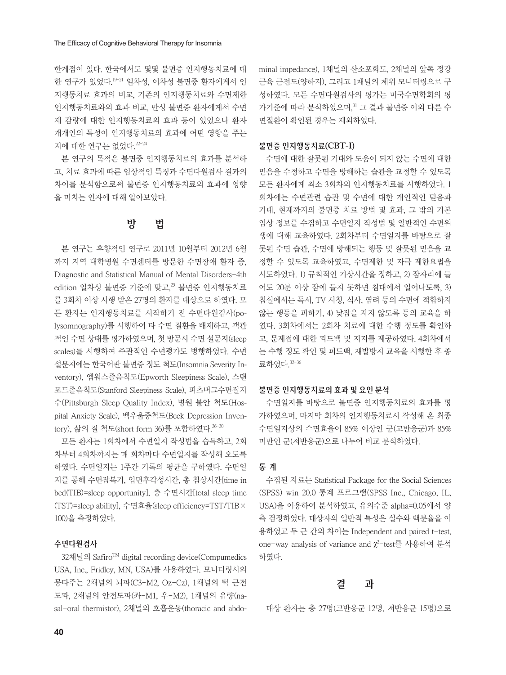한계점이 있다. 한국에서도 몇몇 불면증 인지행동치료에 대 한 연구가 있었다. 19-21 일차성, 이차성 불면증 환자에게서 인 지행동치료 효과의 비교, 기존의 인지행동치료와 수면제한 인지행동치료와의 효과 비교, 만성 불면증 환자에게서 수면 제 감량에 대한 인지행동치료의 효과 등이 있었으나 환자 개개인의 특성이 인지행동치료의 효과에 어떤 영향을 주는 지에 대한 연구는 없었다. 22-24

본 연구의 목적은 불면증 인지행동치료의 효과를 분석하 고, 치료 효과에 따른 임상적인 특징과 수면다원검사 결과의 차이를 분석함으로써 불면증 인지행동치료의 효과에 영향 을 미치는 인자에 대해 알아보았다.

# 방 법

본 연구는 후향적인 연구로 2011년 10월부터 2012년 6월 까지 지역 대학병원 수면센터를 방문한 수면장애 환자 중, Diagnostic and Statistical Manual of Mental Disorders-4th edition 일차성 불면증 기준에 맞고, $^{\rm z5}$  불면증 인지행동치료 를 3회차 이상 시행 받은 27명의 환자를 대상으로 하였다. 모 든 환자는 인지행동치료를 시작하기 전 수면다원검사(polysomnography)를 시행하여 타 수면 질환을 배제하고, 객관 적인 수면 상태를 평가하였으며, 첫 방문시 수면 설문지(sleep scales)를 시행하여 주관적인 수면평가도 병행하였다. 수면 설문지에는 한국어판 불면증 정도 척도(Insomnia Severity Inventory), 엡워스졸음척도(Epworth Sleepiness Scale), 스탠 포드졸음척도(Stanford Sleepiness Scale), 피츠버그수면질지 수(Pittsburgh Sleep Quality Index), 병원 불안 척도(Hospital Anxiety Scale), 벡우울증척도(Beck Depression Inventory), 삶의 질 척도(short form 36)를 포함하였다. 26-30

모든 환자는 1회차에서 수면일지 작성법을 습득하고, 2회 차부터 4회차까지는 매 회차마다 수면일지를 작성해 오도록 하였다. 수면일지는 1주간 기록의 평균을 구하였다. 수면일 지를 통해 수면잠복기, 입면후각성시간, 총 침상시간[time in bed(TIB)=sleep opportunity], 총 수면시간[total sleep time (TST)=sleep ability], 수면효율(sleep efficiency=TST/TIB× 100)을 측정하였다.

## 수면다원검사

32채널의 Safiro™ digital recording device(Compumedics USA, Inc., Fridley, MN, USA)를 사용하였다. 모니터링시의 몽타주는 2채널의 뇌파(C3-M2, Oz-Cz), 1채널의 턱 근전 도파, 2채널의 안전도파(좌-M1, 우-M2), 1채널의 유량(nasal-oral thermistor), 2채널의 호흡운동(thoracic and abdominal impedance), 1채널의 산소포화도, 2채널의 앞쪽 정강 근육 근전도(양하지), 그리고 1채널의 체위 모니터링으로 구 성하였다. 모든 수면다원검사의 평가는 미국수면학회의 평 가기준에 따라 분석하였으며, <sup>31</sup> 그 결과 불면증 이외 다른 수 면질환이 확인된 경우는 제외하였다.

#### 불면증 인지행동치료**(CBT-I)**

수면에 대한 잘못된 기대와 도움이 되지 않는 수면에 대한 믿음을 수정하고 수면을 방해하는 습관을 교정할 수 있도록 모든 환자에게 최소 3회차의 인지행동치료를 시행하였다. 1 회차에는 수면관련 습관 및 수면에 대한 개인적인 믿음과 기대, 현재까지의 불면증 치료 방법 및 효과, 그 밖의 기본 임상 정보를 수집하고 수면일지 작성법 및 일반적인 수면위 생에 대해 교육하였다. 2회차부터 수면일지를 바탕으로 잘 못된 수면 습관, 수면에 방해되는 행동 및 잘못된 믿음을 교 정할 수 있도록 교육하였고, 수면제한 및 자극 제한요법을 시도하였다. 1) 규칙적인 기상시간을 정하고, 2) 잠자리에 들 어도 20분 이상 잠에 들지 못하면 침대에서 일어나도록, 3) 침실에서는 독서, TV 시청, 식사, 염려 등의 수면에 적합하지 않는 행동을 피하기, 4) 낮잠을 자지 않도록 등의 교육을 하 였다. 3회차에서는 2회차 치료에 대한 수행 정도를 확인하 고, 문제점에 대한 피드백 및 지지를 제공하였다. 4회차에서 는 수행 정도 확인 및 피드백, 재발방지 교육을 시행한 후 종 료하였다. 32-36

#### 불면증 인지행동치료의 효과 및 요인 분석

수면일지를 바탕으로 불면증 인지행동치료의 효과를 평 가하였으며, 마지막 회차의 인지행동치료시 작성해 온 최종 수면일지상의 수면효율이 85% 이상인 군(고반응군)과 85% 미만인 군(저반응군)으로 나누어 비교 분석하였다.

#### 통 계

수집된 자료는 Statistical Package for the Social Sciences (SPSS) win 20.0 통계 프로그램(SPSS Inc., Chicago, IL, USA)을 이용하여 분석하였고, 유의수준 alpha=0.05에서 양 측 검정하였다. 대상자의 일반적 특성은 실수와 백분율을 이 용하였고 두 군 간의 차이는 Independent and paired t-test, one-way analysis of variance and  $\chi^2$ -test를 사용하여 분석 하였다.

## 결 과

대상 환자는 총 27명(고반응군 12명, 저반응군 15명)으로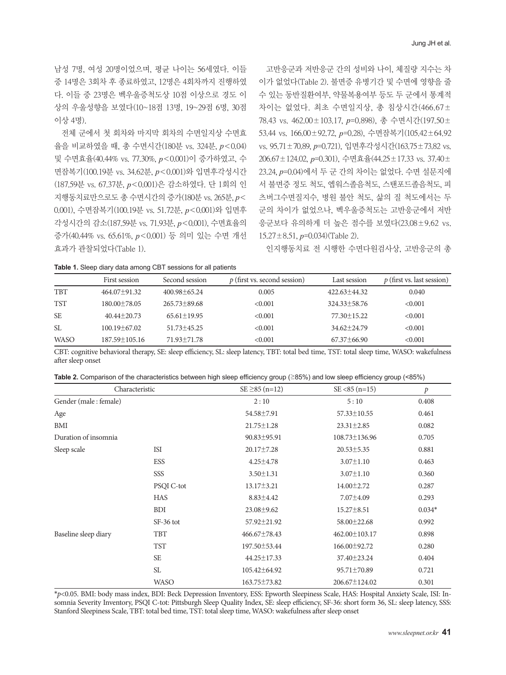남성 7명, 여성 20명이었으며, 평균 나이는 56세였다. 이들 중 14명은 3회차 후 종료하였고, 12명은 4회차까지 진행하였 다. 이들 중 23명은 벡우울증척도상 10점 이상으로 경도 이 상의 우울성향을 보였다(10~18점 13명, 19~29점 6명, 30점 이상 4명).

전체 군에서 첫 회차와 마지막 회차의 수면일지상 수면효 율을 비교하였을 때, 총 수면시간(180분 vs. 324분, *p*<0.04) 및 수면효율(40.44% vs. 77.30%, *p*<0.001)이 증가하였고, 수 면잠복기(100.19분 vs. 34.62분, *p*<0.001)와 입면후각성시간 (187.59분 vs. 67.37분, *p*<0.001)은 감소하였다. 단 1회의 인 지행동치료만으로도 총 수면시간의 증가(180분 vs. 265분, *p*< 0.001), 수면잠복기(100.19분 vs. 51.72분, *p*<0.001)와 입면후 각성시간의 감소(187.59분 vs. 71.93분, *p*<0.001), 수면효율의 증가(40.44% vs. 65.61%, *p*<0.001) 등 의미 있는 수면 개선 효과가 관찰되었다(Table 1).

고반응군과 저반응군 간의 성비와 나이, 체질량 지수는 차 이가 없었다(Table 2). 불면증 유병기간 및 수면에 영향을 줄 수 있는 동반질환여부, 약물복용여부 등도 두 군에서 통계적 차이는 없었다. 최초 수면일지상, 총 침상시간(466.67± 78.43 vs. 462.00±103.17, *p*=0.898), 총 수면시간(197.50± 53.44 vs. 166.00±92.72, *p*=0.28), 수면잠복기(105.42±64.92 vs. 95.71±70.89, *p*=0.721), 입면후각성시간(163.75±73.82 vs. 206.67±124.02, *p*=0.301), 수면효율(44.25±17.33 vs. 37.40± 23.24, *p*=0.04)에서 두 군 간의 차이는 없었다. 수면 설문지에 서 불면증 정도 척도, 엡워스졸음척도, 스탠포드졸음척도, 피 츠버그수면질지수, 병원 불안 척도, 삶의 질 척도에서는 두 군의 차이가 없었으나, 벡우울증척도는 고반응군에서 저반 응군보다 유의하게 더 높은 점수를 보였다(23.08±9.62 vs. 15.27±8.51, *p*=0.034)(Table 2).

인지행동치료 전 시행한 수면다원검사상, 고반응군의 총

**Table 1.** Sleep diary data among CBT sessions for all patients

|             | First session       | Second session     | $p$ (first vs. second session) | Last session       | $p$ (first vs. last session) |
|-------------|---------------------|--------------------|--------------------------------|--------------------|------------------------------|
| <b>TBT</b>  | $464.07 \pm 91.32$  | $400.98 \pm 65.24$ | 0.005                          | $422.63 \pm 44.32$ | 0.040                        |
| <b>TST</b>  | $180.00 \pm 78.05$  | $265.73 \pm 89.68$ | < 0.001                        | $324.33 \pm 58.76$ | < 0.001                      |
| <b>SE</b>   | $40.44 \pm 20.73$   | $65.61 \pm 19.95$  | < 0.001                        | $77.30 \pm 15.22$  | < 0.001                      |
| SL.         | $100.19 \pm 67.02$  | $51.73 \pm 45.25$  | < 0.001                        | $34.62 \pm 24.79$  | < 0.001                      |
| <b>WASO</b> | $187.59 \pm 105.16$ | 71.93 ± 71.78      | < 0.001                        | $67.37\pm 66.90$   | < 0.001                      |

CBT: cognitive behavioral therapy, SE: sleep efficiency, SL: sleep latency, TBT: total bed time, TST: total sleep time, WASO: wakefulness after sleep onset

|  |  | Table 2. Comparison of the characteristics between high sleep efficiency group ( $\geq$ 85%) and low sleep efficiency group (<85%) |  |
|--|--|------------------------------------------------------------------------------------------------------------------------------------|--|
|--|--|------------------------------------------------------------------------------------------------------------------------------------|--|

| Characteristic        |                   | $SE \geq 85$ (n=12) | $SE < 85$ (n=15)    | р        |
|-----------------------|-------------------|---------------------|---------------------|----------|
| Gender (male: female) |                   | 2:10                | 5:10                | 0.408    |
| Age                   |                   | 54.58±7.91          | $57.33 \pm 10.55$   | 0.461    |
| BMI                   |                   | $21.75 \pm 1.28$    | $23.31 \pm 2.85$    | 0.082    |
| Duration of insomnia  |                   | $90.83 \pm 95.91$   | 108.73±136.96       | 0.705    |
| Sleep scale           | <b>ISI</b>        | 20.17±7.28          | $20.53 \pm 5.35$    | 0.881    |
|                       | <b>ESS</b>        | $4.25 \pm 4.78$     | $3.07 \pm 1.10$     | 0.463    |
|                       | SSS               | $3.50 \pm 1.31$     | $3.07 \pm 1.10$     | 0.360    |
|                       | <b>PSQI C-tot</b> | $13.17 \pm 3.21$    | $14.00 \pm 2.72$    | 0.287    |
|                       | <b>HAS</b>        | $8.83 \pm 4.42$     | $7.07 \pm 4.09$     | 0.293    |
|                       | <b>BDI</b>        | $23.08 \pm 9.62$    | $15.27 \pm 8.51$    | $0.034*$ |
|                       | $SF-36$ tot       | 57.92±21.92         | 58.00 ± 22.68       | 0.992    |
| Baseline sleep diary  | <b>TBT</b>        | $466.67 \pm 78.43$  | $462.00 \pm 103.17$ | 0.898    |
|                       | <b>TST</b>        | 197.50 ± 53.44      | 166.00±92.72        | 0.280    |
|                       | <b>SE</b>         | 44.25±17.33         | 37.40 ± 23.24       | 0.404    |
|                       | <b>SL</b>         | 105.42±64.92        | 95.71±70.89         | 0.721    |
|                       | <b>WASO</b>       | 163.75±73.82        | 206.67±124.02       | 0.301    |

\**p*<0.05. BMI: body mass index, BDI: Beck Depression Inventory, ESS: Epworth Sleepiness Scale, HAS: Hospital Anxiety Scale, ISI: Insomnia Severity Inventory, PSQI C-tot: Pittsburgh Sleep Quality Index, SE: sleep efficiency, SF-36: short form 36, SL: sleep latency, SSS: Stanford Sleepiness Scale, TBT: total bed time, TST: total sleep time, WASO: wakefulness after sleep onset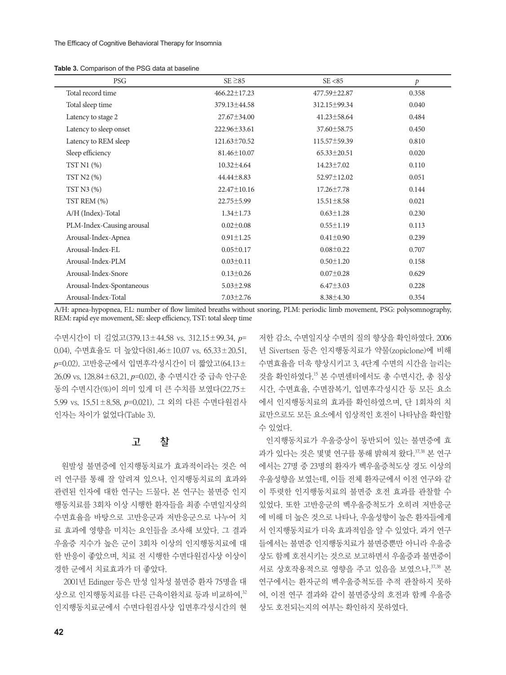| <b>Table 3.</b> Comparison of the PSG data at baseline |  |  |
|--------------------------------------------------------|--|--|
|--------------------------------------------------------|--|--|

| PSG                       | $SE \geq 85$       | SE < 85            | $\mathcal{P}$ |
|---------------------------|--------------------|--------------------|---------------|
| Total record time         | $466.22 \pm 17.23$ | $477.59 \pm 22.87$ | 0.358         |
| Total sleep time          | 379.13±44.58       | 312.15±99.34       | 0.040         |
| Latency to stage 2        | $27.67 \pm 34.00$  | $41.23 \pm 58.64$  | 0.484         |
| Latency to sleep onset    | 222.96 ± 33.61     | 37.60 ± 58.75      | 0.450         |
| Latency to REM sleep      | 121.63±70.52       | 115.57±59.39       | 0.810         |
| Sleep efficiency          | 81.46±10.07        | $65.33 \pm 20.51$  | 0.020         |
| TST N1 (%)                | $10.32 \pm 4.64$   | 14.23±7.02         | 0.110         |
| TST N2 (%)                | $44.44\pm8.83$     | 52.97±12.02        | 0.051         |
| TST $N3$ $(\%)$           | 22.47±10.16        | $17.26 \pm 7.78$   | 0.144         |
| TST REM (%)               | $22.75 \pm 5.99$   | $15.51 \pm 8.58$   | 0.021         |
| A/H (Index)-Total         | $1.34 \pm 1.73$    | $0.63 \pm 1.28$    | 0.230         |
| PLM-Index-Causing arousal | $0.02 \pm 0.08$    | $0.55 \pm 1.19$    | 0.113         |
| Arousal-Index-Apnea       | $0.91 \pm 1.25$    | $0.41 \pm 0.90$    | 0.239         |
| Arousal-Index-EL          | $0.05 \pm 0.17$    | $0.08 \pm 0.22$    | 0.707         |
| Arousal-Index-PLM         | $0.03 \pm 0.11$    | $0.50 \pm 1.20$    | 0.158         |
| Arousal-Index-Snore       | $0.13 \pm 0.26$    | $0.07 \pm 0.28$    | 0.629         |
| Arousal-Index-Spontaneous | $5.03 \pm 2.98$    | $6.47 \pm 3.03$    | 0.228         |
| Arousal-Index-Total       | $7.03 \pm 2.76$    | $8.38 \pm 4.30$    | 0.354         |

A/H: apnea-hypopnea, F.L: number of flow limited breaths without snoring, PLM: periodic limb movement, PSG: polysomnography, REM: rapid eye movement, SE: sleep efficiency, TST: total sleep time

수면시간이 더 길었고(379.13±44.58 vs. 312.15±99.34, *p*= 0.04), 수면효율도 더 높았다(81.46±10.07 vs. 65.33±20.51, *p*=0.02). 고반응군에서 입면후각성시간이 더 짧았고(64.13± 26.09 vs. 128.84±63.21, *p*=0.02), 총 수면시간 중 급속 안구운 동의 수면시간(%)이 의미 있게 더 큰 수치를 보였다(22.75± 5.99 vs. 15.51±8.58, *p*=0.021). 그 외의 다른 수면다원검사 인자는 차이가 없었다(Table 3).

# 고 찰

원발성 불면증에 인지행동치료가 효과적이라는 것은 여 러 연구를 통해 잘 알려져 있으나, 인지행동치료의 효과와 관련된 인자에 대한 연구는 드물다. 본 연구는 불면증 인지 행동치료를 3회차 이상 시행한 환자들을 최종 수면일지상의 수면효율을 바탕으로 고반응군과 저반응군으로 나누어 치 료 효과에 영향을 미치는 요인들을 조사해 보았다. 그 결과 우울증 지수가 높은 군이 3회차 이상의 인지행동치료에 대 한 반응이 좋았으며, 치료 전 시행한 수면다원검사상 이상이 경한 군에서 치료효과가 더 좋았다.

2001년 Edinger 등은 만성 일차성 불면증 환자 75명을 대 상으로 인지행동치료를 다른 근육이완치료 등과 비교하여, 32 인지행동치료군에서 수면다원검사상 입면후각성시간의 현

저한 감소, 수면일지상 수면의 질의 향상을 확인하였다. 2006 년 Sivertsen 등은 인지행동치료가 약물(zopiclone)에 비해 수면효율을 더욱 향상시키고 3, 4단계 수면의 시간을 늘리는 것을 확인하였다. <sup>15</sup> 본 수면센터에서도 총 수면시간, 총 침상 시간, 수면효율, 수면잠복기, 입면후각성시간 등 모든 요소 에서 인지행동치료의 효과를 확인하였으며, 단 1회차의 치 료만으로도 모든 요소에서 임상적인 호전이 나타남을 확인할 수 있었다.

인지행동치료가 우울증상이 동반되어 있는 불면증에 효 과가 있다는 것은 몇몇 연구를 통해 밝혀져 왔다. 37,38 본 연구 에서는 27명 중 23명의 환자가 벡우울증척도상 경도 이상의 우울성향을 보였는데, 이들 전체 환자군에서 이전 연구와 같 이 뚜렷한 인지행동치료의 불면증 호전 효과를 관찰할 수 있었다. 또한 고반응군의 벡우울증척도가 오히려 저반응군 에 비해 더 높은 것으로 나타나, 우울성향이 높은 환자들에게 서 인지행동치료가 더욱 효과적임을 알 수 있었다. 과거 연구 들에서는 불면증 인지행동치료가 불면증뿐만 아니라 우울증 상도 함께 호전시키는 것으로 보고하면서 우울증과 불면증이 서로 상호작용적으로 영향을 주고 있음을 보였으나, 37,38 본 연구에서는 환자군의 벡우울증척도를 추적 관찰하지 못하 여, 이전 연구 결과와 같이 불면증상의 호전과 함께 우울증 상도 호전되는지의 여부는 확인하지 못하였다.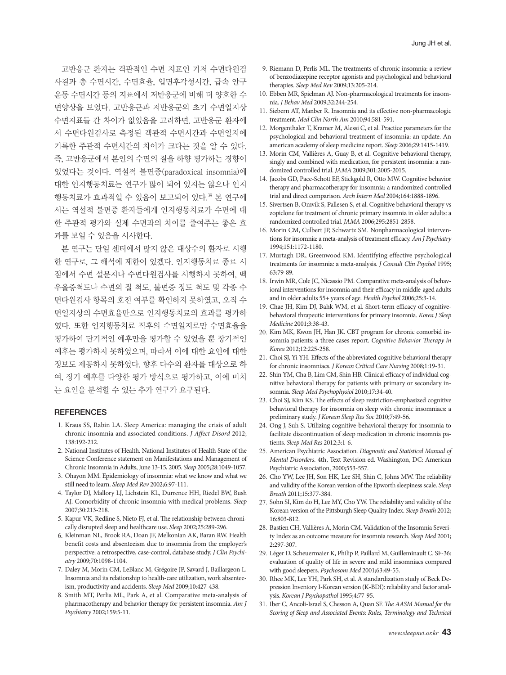고반응군 환자는 객관적인 수면 지표인 기저 수면다원검 사결과 총 수면시간, 수면효율, 입면후각성시간, 급속 안구 운동 수면시간 등의 지표에서 저반응군에 비해 더 양호한 수 면양상을 보였다. 고반응군과 저반응군의 초기 수면일지상 수면지표들 간 차이가 없었음을 고려하면, 고반응군 환자에 서 수면다원검사로 측정된 객관적 수면시간과 수면일지에 기록한 주관적 수면시간의 차이가 크다는 것을 알 수 있다. 즉, 고반응군에서 본인의 수면의 질을 하향 평가하는 경향이 있었다는 것이다. 역설적 불면증(paradoxical insomnia)에 대한 인지행동치료는 연구가 많이 되어 있지는 않으나 인지 행동치료가 효과적일 수 있음이 보고되어 있다. <sup>39</sup> 본 연구에 서는 역설적 불면증 환자들에게 인지행동치료가 수면에 대 한 주관적 평가와 실제 수면과의 차이를 줄여주는 좋은 효 과를 보일 수 있음을 시사한다.

본 연구는 단일 센터에서 많지 않은 대상수의 환자로 시행 한 연구로, 그 해석에 제한이 있겠다. 인지행동치료 종료 시 점에서 수면 설문지나 수면다원검사를 시행하지 못하여, 벡 우울증척도나 수면의 질 척도, 불면증 정도 척도 및 각종 수 면다원검사 항목의 호전 여부를 확인하지 못하였고, 오직 수 면일지상의 수면효율만으로 인지행동치료의 효과를 평가하 였다. 또한 인지행동치료 직후의 수면일지로만 수면효율을 평가하여 단기적인 예후만을 평가할 수 있었을 뿐 장기적인 예후는 평가하지 못하였으며, 따라서 이에 대한 요인에 대한 정보도 제공하지 못하였다. 향후 다수의 환자를 대상으로 하 여, 장기 예후를 다양한 평가 방식으로 평가하고, 이에 미치 는 요인을 분석할 수 있는 추가 연구가 요구된다.

#### **REFERENCES**

- 1. Kraus SS, Rabin LA. Sleep America: managing the crisis of adult chronic insomnia and associated conditions. *J Affect Disord* 2012; 138:192-212.
- 2. National Institutes of Health. National Institutes of Health State of the Science Conference statement on Manifestations and Management of Chronic Insomnia in Adults, June 13-15, 2005. *Sleep* 2005;28:1049-1057.
- 3. Ohayon MM. Epidemiology of insomnia: what we know and what we still need to learn. *Sleep Med Rev* 2002;6:97-111.
- 4. Taylor DJ, Mallory LJ, Lichstein KL, Durrence HH, Riedel BW, Bush AJ. Comorbidity of chronic insomnia with medical problems. *Sleep* 2007;30:213-218.
- 5. Kapur VK, Redline S, Nieto FJ, et al. The relationship between chronically disrupted sleep and healthcare use. *Sleep* 2002;25:289-296.
- 6. Kleinman NL, Brook RA, Doan JF, Melkonian AK, Baran RW. Health benefit costs and absenteeism due to insomnia from the employer's perspective: a retrospective, case-control, database study. *J Clin Psychiatry* 2009;70:1098-1104.
- 7. Daley M, Morin CM, LeBlanc M, Grégoire JP, Savard J, Baillargeon L. Insomnia and its relationship to health-care utilization, work absenteeism, productivity and accidents. *Sleep Med* 2009;10:427-438.
- 8. Smith MT, Perlis ML, Park A, et al. Comparative meta-analysis of pharmacotherapy and behavior therapy for persistent insomnia. *Am J Psychiatry* 2002;159:5-11.
- 9. Riemann D, Perlis ML. The treatments of chronic insomnia: a review of benzodiazepine receptor agonists and psychological and behavioral therapies. *Sleep Med Rev* 2009;13:205-214.
- 10. Ebben MR, Spielman AJ. Non-pharmacological treatments for insomnia. *J Behav Med* 2009;32:244-254.
- 11. Siebern AT, Manber R. Insomnia and its effective non-pharmacologic treatment. *Med Clin North Am* 2010;94:581-591.
- 12. Morgenthaler T, Kramer M, Alessi C, et al. Practice parameters for the psychological and behavioral treatment of insomnia: an update. An american academy of sleep medicine report. *Sleep* 2006;29:1415-1419.
- 13. Morin CM, Vallières A, Guay B, et al. Cognitive behavioral therapy, singly and combined with medication, for persistent insomnia: a randomized controlled trial. *JAMA* 2009;301:2005-2015.
- 14. Jacobs GD, Pace-Schott EF, Stickgold R, Otto MW. Cognitive behavior therapy and pharmacotherapy for insomnia: a randomized controlled trial and direct comparison. *Arch Intern Med* 2004;164:1888-1896.
- 15. Sivertsen B, Omvik S, Pallesen S, et al. Cognitive behavioral therapy vs zopiclone for treatment of chronic primary insomnia in older adults: a randomized controlled trial. *JAMA* 2006;295:2851-2858.
- 16. Morin CM, Culbert JP, Schwartz SM. Nonpharmacological interventions for insomnia: a meta-analysis of treatment efficacy. *Am J Psychiatry* 1994;151:1172-1180.
- 17. Murtagh DR, Greenwood KM. Identifying effective psychological treatments for insomnia: a meta-analysis. *J Consult Clin Psychol* 1995; 63:79-89.
- 18. Irwin MR, Cole JC, Nicassio PM. Comparative meta-analysis of behavioral interventions for insomnia and their efficacy in middle-aged adults and in older adults 55+ years of age. *Health Psychol* 2006;25:3-14.
- 19. Chae JH, Kim DJ, Bahk WM, et al. Short-term efficacy of cognitivebehavioral thrapeutic interventions for primary insomnia. *Korea J Sleep Medicine* 2001;3:38-43.
- 20. Kim MK, Kwon JH, Han JK. CBT program for chronic comorbid insomnia patients: a three cases report. *Cognitive Behavior Therapy in Korea* 2012;12:225-258.
- 21. Choi SJ, Yi YH. Effects of the abbreviated cognitive behavioral therapy for chronic insomniacs. *J Korean Critical Care Nursing* 2008;1:19-31.
- 22. Shin YM, Cha B, Lim CM, Shin HB. Clinical efficacy of individual cognitive behavioral therapy for patients with primary or secondary insomnia. *Sleep Med Psychophysiol* 2010;17:34-40.
- 23. Choi SJ, Kim KS. The effects of sleep restriction-emphasized cognitive behavioral therapy for insomnia on sleep with chronic insomniacs: a preliminary study. *J Korean Sleep Res Soc* 2010;7:49-56.
- 24. Ong J, Suh S. Utilizing cognitive-behavioral therapy for insomnia to facilitate discontinuation of sleep medication in chronic insomnia patients. *Sleep Med Res* 2012;3:1-6.
- 25. American Psychiatric Association. *Diagnostic and Statistical Manual of Mental Disorders.* 4th, Text Revision ed. Washington, DC: American Psychiatric Association, 2000;553-557.
- 26. Cho YW, Lee JH, Son HK, Lee SH, Shin C, Johns MW. The reliability and validity of the Korean version of the Epworth sleepiness scale. *Sleep Breath* 2011;15:377-384.
- 27. Sohn SI, Kim do H, Lee MY, Cho YW. The reliability and validity of the Korean version of the Pittsburgh Sleep Quality Index. *Sleep Breath* 2012; 16:803-812.
- 28. Bastien CH, Vallières A, Morin CM. Validation of the Insomnia Severity Index as an outcome measure for insomnia research. *Sleep Med* 2001; 2:297-307.
- 29. Léger D, Scheuermaier K, Philip P, Paillard M, Guilleminault C. SF-36: evaluation of quality of life in severe and mild insomniacs compared with good sleepers. *Psychosom Med* 2001;63:49-55.
- 30. Rhee MK, Lee YH, Park SH, et al. A standardization study of Beck Depression Inventory I-Korean version (K-BDI): reliability and factor analysis. *Korean J Psychopathol* 1995;4:77-95.
- 31. Iber C, Ancoli-Israel S, Chesson A, Quan SF. *The AASM Manual for the Scoring of Sleep and Associated Events: Rules, Terminology and Technical*